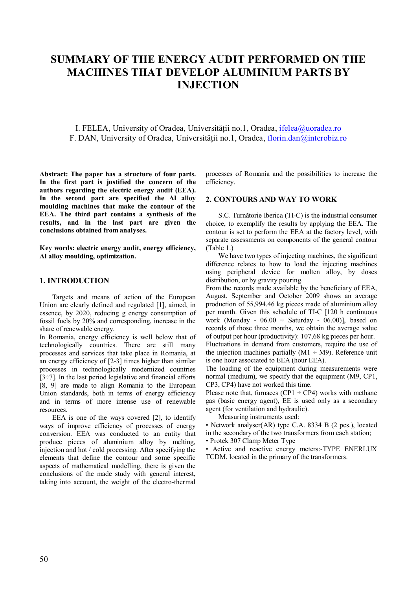# **SUMMARY OF THE ENERGY AUDIT PERFORMED ON THE MACHINES THAT DEVELOP ALUMINIUM PARTS BY INJECTION**

I. FELEA, University of Oradea, Universității no.1, Oradea, ifelea@uoradea.ro F. DAN, University of Oradea, Universității no.1, Oradea, florin.dan@interobiz.ro

**Abstract: The paper has a structure of four parts. In the first part is justified the concern of the authors regarding the electric energy audit (EEA). In the second part are specified the Al alloy moulding machines that make the contour of the EEA. The third part contains a synthesis of the results, and in the last part are given the conclusions obtained from analyses.** 

**Key words: electric energy audit, energy efficiency, Al alloy moulding, optimization.** 

#### **1. INTRODUCTION**

Targets and means of action of the European Union are clearly defined and regulated [1], aimed, in essence, by 2020, reducing g energy consumption of fossil fuels by 20% and corresponding, increase in the share of renewable energy.

In Romania, energy efficiency is well below that of technologically countries. There are still many processes and services that take place in Romania, at an energy efficiency of [2-3] times higher than similar processes in technologically modernized countries  $[3\div 7]$ . In the last period legislative and financial efforts [8, 9] are made to align Romania to the European Union standards, both in terms of energy efficiency and in terms of more intense use of renewable resources.

EEA is one of the ways covered [2], to identify ways of improve efficiency of processes of energy conversion. EEA was conducted to an entity that produce pieces of aluminium alloy by melting, injection and hot / cold processing. After specifying the elements that define the contour and some specific aspects of mathematical modelling, there is given the conclusions of the made study with general interest, taking into account, the weight of the electro-thermal

processes of Romania and the possibilities to increase the efficiency.

#### **2. CONTOURS AND WAY TO WORK**

S.C. Turnătorie Iberica (TI-C) is the industrial consumer choice, to exemplify the results by applying the EEA. The contour is set to perform the EEA at the factory level, with separate assessments on components of the general contour (Table 1.)

We have two types of injecting machines, the significant difference relates to how to load the injecting machines using peripheral device for molten alloy, by doses distribution, or by gravity pouring.

From the records made available by the beneficiary of EEA, August, September and October 2009 shows an average production of 55,994.46 kg pieces made of aluminium alloy per month. Given this schedule of TI-C [120 h continuous work (Monday -  $06.00 \div$  Saturday -  $06.00$ ), based on records of those three months, we obtain the average value of output per hour (productivity): 107,68 kg pieces per hour.

Fluctuations in demand from customers, require the use of the injection machines partially  $(M1 \div M9)$ . Reference unit is one hour associated to EEA (hour EEA).

The loading of the equipment during measurements were normal (medium), we specify that the equipment (M9, CP1, CP3, CP4) have not worked this time.

Please note that, furnaces (CP1  $\div$  CP4) works with methane gas (basic energy agent), EE is used only as a secondary agent (for ventilation and hydraulic).

Measuring instruments used:

• Network analyser(AR) type C.A. 8334 B (2 pcs.), located in the secondary of the two transformers from each station; • Protek 307 Clamp Meter Type

• Active and reactive energy meters:-TYPE ENERLUX TCDM, located in the primary of the transformers.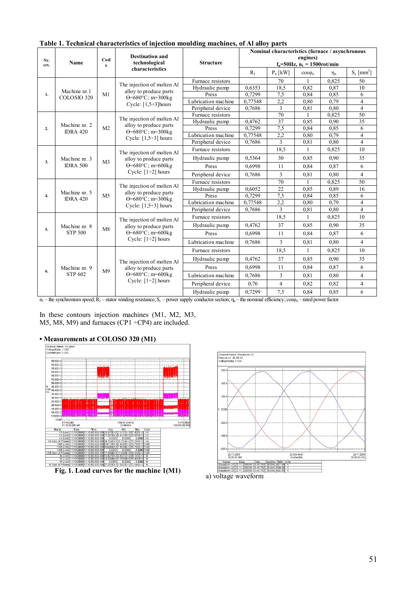| Nr.<br>Name<br>crt. |                 | Cod<br>e                                                                                                    | <b>Destination and</b><br>technological              | <b>Structure</b>                            | Nominal characteristics (furnace / asynchronous<br>engines)<br>$f_n = 50 Hz$ , $n_1 = 1500 \text{rot/min}$ |                                  |                          |       |                         |
|---------------------|-----------------|-------------------------------------------------------------------------------------------------------------|------------------------------------------------------|---------------------------------------------|------------------------------------------------------------------------------------------------------------|----------------------------------|--------------------------|-------|-------------------------|
|                     | characteristics |                                                                                                             | $R_1$                                                | $P_n$ [kW]                                  | $cos\varphi_n$                                                                                             | $\eta_n$                         | $S_c$ [mm <sup>2</sup> ] |       |                         |
|                     |                 |                                                                                                             |                                                      | Furnace resistors                           |                                                                                                            | 70                               |                          | 0.825 | 50                      |
|                     | Machine nr.1    |                                                                                                             | The injection of molten Al<br>alloy to produce parts | Hydraulic pump                              | 0,6353                                                                                                     | 18,5                             | 0,82                     | 0,87  | 10                      |
| 1.                  | COLOSIO 320     | M1                                                                                                          | $\Theta = 680^{\circ}$ C; m=300kg                    | Press                                       | 0,7299                                                                                                     | 7.5                              | 0.84                     | 0.85  | 6                       |
|                     |                 |                                                                                                             | Cycle: $[1,5\div 3]$ hours                           | Lubrication machine                         | 0,77548                                                                                                    | 2,2                              | 0.80                     | 0,79  | $\overline{4}$          |
|                     |                 |                                                                                                             |                                                      | Peripheral device                           | 0,7686                                                                                                     | $\overline{3}$                   | 0,81                     | 0.80  | $\overline{4}$          |
|                     |                 |                                                                                                             | The injection of molten Al                           | Furnace resistors                           |                                                                                                            | 70                               | 1                        | 0,825 | 50                      |
|                     | Machine nr. 2   |                                                                                                             | alloy to produce parts                               | 0,4762<br>Hydraulic pump                    |                                                                                                            | 37                               | 0,85                     | 0,90  | 35                      |
| 2.                  | <b>IDRA 420</b> | M <sub>2</sub>                                                                                              | $\Theta = 680^{\circ}$ C; m=300kg                    | Press                                       | 0,7299                                                                                                     | 7,5                              | 0,84                     | 0.85  | 6                       |
|                     |                 |                                                                                                             | Cycle: $[1,5\div 3]$ hours                           | Lubrication machine                         | 0,77548                                                                                                    | 2,2                              | 0.80                     | 0.79  | 4                       |
|                     |                 |                                                                                                             |                                                      | Peripheral device                           | 0,7686                                                                                                     | $\overline{\mathcal{E}}$<br>18,5 | 0,81                     | 0.80  | $\overline{4}$          |
| 3.                  |                 |                                                                                                             | The injection of molten Al                           |                                             | Furnace resistors                                                                                          |                                  | $\mathbf{1}$             | 0,825 | 10                      |
|                     | Machine nr. 3   | M <sub>3</sub>                                                                                              | alloy to produce parts                               | Hydraulic pump<br>0,5364<br>Press<br>0,6998 | 30                                                                                                         | 0.85                             | 0.90                     | 35    |                         |
|                     | <b>IDRA 500</b> |                                                                                                             | $\Theta = 680^{\circ}$ C; m=600kg                    |                                             | 11                                                                                                         | 0.84                             | 0.87                     | 6     |                         |
|                     |                 |                                                                                                             | Cycle: $[1\div 2]$ hours                             | Peripheral device                           | 0,7686                                                                                                     | $\overline{3}$                   | 0,81                     | 0.80  | $\overline{4}$          |
|                     |                 | The injection of molten Al<br>alloy to produce parts<br>M <sub>5</sub><br>$\Theta = 680^{\circ}$ C; m=300kg | Furnace resistors                                    |                                             | 70                                                                                                         |                                  | 0,825                    | 50    |                         |
|                     | Machine nr. 5   |                                                                                                             | Cycle: $[1,5\div 3]$ hours                           | Hydraulic pump                              | 0.6052                                                                                                     | 22                               | 0.85                     | 0.89  | 16                      |
| 4.                  | <b>IDRA 420</b> |                                                                                                             |                                                      | Press                                       | 0,7299                                                                                                     | 7,5                              | 0.84                     | 0,85  | 6                       |
|                     |                 |                                                                                                             |                                                      | Lubrication machine                         | 0,77548                                                                                                    | 2,2                              | 0.80                     | 0.79  | 4                       |
|                     |                 |                                                                                                             |                                                      | Peripheral device                           | 0,7686                                                                                                     | $\overline{3}$                   | 0.81                     | 0.80  | $\overline{\mathbf{4}}$ |
|                     |                 |                                                                                                             | The injection of molten Al                           | Furnace resistors                           |                                                                                                            | 18,5                             | $\mathbf{1}$             | 0,825 | 10                      |
| 5.                  | Machine nr. 8   | M8                                                                                                          | alloy to produce parts                               | Hydraulic pump                              | 0,4762                                                                                                     | 37                               | 0.85                     | 0.90  | 35                      |
|                     | <b>STP 500</b>  |                                                                                                             | $\Theta = 680^{\circ}$ C; m=600kg                    | Press                                       | 0,6998                                                                                                     | 11                               | 0.84                     | 0.87  | 6                       |
|                     |                 |                                                                                                             | Cycle: $[1\div 2]$ hours                             | Lubrication machine                         | 0,7686                                                                                                     | 3                                | 0.81                     | 0.80  | $\overline{4}$          |
|                     |                 |                                                                                                             |                                                      | Furnace resistors                           |                                                                                                            | 18,5                             | 1                        | 0,825 | 10                      |
| 6.                  |                 |                                                                                                             | The injection of molten Al                           | Hydraulic pump                              | 0,4762                                                                                                     | 37                               | 0.85                     | 0.90  | 35                      |
|                     | Machine nr. 9   | alloy to produce parts<br>M <sup>9</sup>                                                                    | Press                                                | 0.6998                                      | 11                                                                                                         | 0.84                             | 0.87                     | 6     |                         |
|                     | <b>STP 602</b>  |                                                                                                             | $\Theta = 680^{\circ}$ C; m=600kg                    | Lubrication machine                         | 0,7686                                                                                                     | 3                                | 0.81                     | 0.80  | $\overline{4}$          |
|                     |                 |                                                                                                             | Cycle: $[1\div 2]$ hours                             | Peripheral device                           | 0,76                                                                                                       | $\overline{4}$                   | 0,82                     | 0,82  | $\overline{4}$          |
|                     |                 |                                                                                                             |                                                      | Hydraulic pump                              | 0,7299                                                                                                     | 7.5                              | 0.84                     | 0.85  | 6                       |

#### **Table 1. Technical characteristics of injection moulding machines, of Al alloy parts**

 $n_1$  – the synchronism speed;  $R_1$  – stator winding resistance;  $S_c$  – power supply conductor section;  $\eta_n$  – the nominal efficiency; cos $\varphi_n$  – rated power factor

In these contours injection machines (M1, M2, M3, M5, M8, M9) and furnaces (CP1 ÷CP4) are included.

#### **• Measurements at COLOSO 320 (M1)**





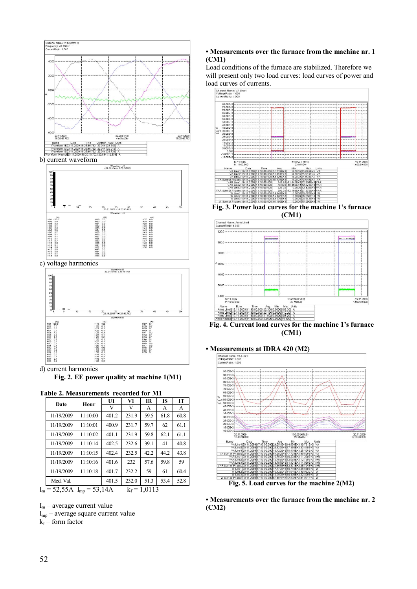

b) current waveform



c) voltage harmonics



d) current harmonics **Fig. 2. EE power quality at machine 1(M1)** 

#### **Table 2. Measurements recorded for M1**

| $1.001$ available $1.11$         |          |       |       |                |           |      |  |
|----------------------------------|----------|-------|-------|----------------|-----------|------|--|
| Date                             | Hour     | U1    | V1    | <b>IR</b>      | <b>IS</b> | IТ   |  |
|                                  |          | V     | V     | A              | А         | A    |  |
| 11/19/2009                       | 11:10:00 | 401.2 | 231.9 | 59.5           | 61.8      | 60.8 |  |
| 11/19/2009                       | 11:10:01 | 400.9 | 231.7 | 59.7           | 62        | 61.1 |  |
| 11/19/2009                       | 11:10:02 | 401.1 | 231.9 | 59.8           | 62.1      | 61.1 |  |
| 11/19/2009                       | 11:10:14 | 402.5 | 232.6 | 39.1           | 41        | 40.8 |  |
| 11/19/2009                       | 11:10:15 | 402.4 | 232.5 | 42.2           | 44.2      | 43.8 |  |
| 11/19/2009                       | 11:10:16 | 401.6 | 232   | 57.6           | 59.8      | 59   |  |
| 11/19/2009                       | 11:10:18 | 401.7 | 232.2 | 59             | 61        | 60.4 |  |
| Med Val                          |          | 401.5 | 232.0 | 51.3           | 53.4      | 52.8 |  |
| $I_m = 52,55A$ $I_{mp} = 53,14A$ |          |       |       | $k_f$ = 1,0113 |           |      |  |

 $I_m$  – average current value

 $I_{mp}$  – average square current value

 $k_f$  – form factor

#### **• Measurements over the furnace from the machine nr. 1 (CM1)**

Load conditions of the furnace are stabilized. Therefore we will present only two load curves: load curves of power and load curves of currents.



**Fig. 3. Power load curves for the machine 1's furnace (CM1)** 



**Fig. 4. Current load curves for the machine 1's furnace (CM1)** 



**• Measurements over the furnace from the machine nr. 2 (CM2)**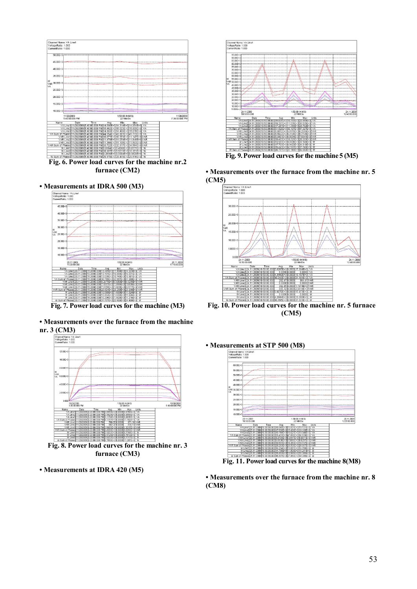

**Fig. 6. Power load curves for the machine nr.2 furnace (CM2)** 

**• Measurements at IDRA 500 (M3)**<br>
<br> **b**  $\frac{\text{Cramon } \text{Namov } \vee \text{A linear}}{\text{Namodian of } \text{A}}$ 



**Fig. 7. Power load curves for the machine (M3)** 

**• Measurements over the furnace from the machine nr. 3 (CM3)** 



**• Measurements at IDRA 420 (M5)** 



**Fig. 9. Power load curves for the machine 5 (M5)** 

**• Measurements over the furnace from the machine nr. 5 (CM5)** 



**Fig. 10. Power load curves for the machine nr. 5 furnace (CM5)** 



**Fig. 11. Power load curves for the machine 8(M8)** 

**• Measurements over the furnace from the machine nr. 8 (CM8)** 

## 53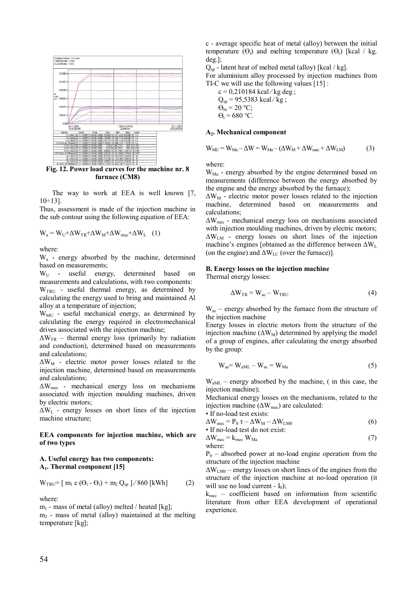

**Fig. 12. Power load curves for the machine nr. 8 furnace (CM8)** 

The way to work at EEA is well known [7,  $10 \div 13$ ].

Thus, assessment is made of the injection machine in the sub contour using the following equation of EEA:

 $W_a = W_U + \Delta W_{TR} + \Delta W_M + \Delta W_{mec} + \Delta W_L$  (1)

where:

W<sub>a</sub> - energy absorbed by the machine, determined based on measurements;

WU - useful energy, determined based on measurements and calculations, with two components:  $W<sub>TRU</sub>$  - useful thermal energy, as determined by calculating the energy used to bring and maintained Al alloy at a temperature of injection;

 $W_{\text{MI}}$  - useful mechanical energy, as determined by calculating the energy required in electromechanical drives associated with the injection machine;

 $\Delta W_{TR}$  – thermal energy loss (primarily by radiation and conduction), determined based on measurements and calculations;

ΔWM - electric motor power losses related to the injection machine, determined based on measurements and calculations;

 $\Delta W_{\text{mec}}$  - mechanical energy loss on mechanisms associated with injection moulding machines, driven by electric motors;

 $\Delta W_L$  - energy losses on short lines of the injection machine structure;

#### **EEA components for injection machine, which are of two types**

#### **A. Useful energy has two components: A1. Thermal component [15]**

$$
W_{TRU} = [m_1 \ c \ (\Theta_t - \Theta_i) + m_2 \ Q_{sp}]/860 \ [kWh] \tag{2}
$$

where:

 $m_1$  - mass of metal (alloy) melted / heated [kg];

 $m<sub>2</sub>$  - mass of metal (alloy) maintained at the melting temperature [kg];

c - average specific heat of metal (alloy) between the initial temperature  $(\Theta_i)$  and melting temperature  $(\Theta_t)$  [kcal / kg. deg.];

 $Q_{\rm{sp}}$  - latent heat of melted metal (alloy) [kcal / kg].

For aluminium alloy processed by injection machines from TI-C we will use the following values [15] :

c = 0,210184 kcal/kg deg ;  
\nQ<sub>sp</sub> = 95,5383 kcal/kg ;  
\n
$$
\Theta_m
$$
 = 20 °C;  
\n $\Theta_t$  = 680 °C.

#### **A2. Mechanical component**

$$
W_{MU} = W_{Ma} - \Delta W = W_{Ma} - (\Delta W_M + \Delta W_{mec} + \Delta W_{LM})
$$
(3)

where:

 $W_{Ma}$  - energy absorbed by the engine determined based on measurements (difference between the energy absorbed by the engine and the energy absorbed by the furnace);

 $\Delta W_M$  - electric motor power losses related to the injection machine, determined based on measurements and calculations;

ΔWmec - mechanical energy loss on mechanisms associated with injection moulding machines, driven by electric motors; ΔWLM - energy losses on short lines of the injection machine's engines [obtained as the difference between  $\Delta W_L$ (on the engine) and  $\Delta W_{LC}$  (over the furnace)].

#### **B. Energy losses on the injection machine**

Thermal energy losses:

$$
\Delta W_{TR} = W_{ac} - W_{TRU} \tag{4}
$$

 $W_{ac}$  – energy absorbed by the furnace from the structure of the injection machine

Energy losses in electric motors from the structure of the injection machine  $(\Delta W_M)$  determined by applying the model of a group of engines, after calculating the energy absorbed by the group:

$$
W_{ae} = W_{aML} - W_{ac} = W_{Ma}
$$
 (5)

 $W<sub>aML</sub>$  – energy absorbed by the machine, (in this case, the injection machine);

Mechanical energy losses on the mechanisms, related to the injection machine  $(\Delta W_{\text{mec}})$  are calculated:

• If no-load test exists:

$$
\Delta W_{\text{mec}} = P_0 \tau - \Delta W_M - \Delta W_{\text{LM}0}
$$
  
• If no-load test do not exist:

$$
\Delta W_{\text{mec}} = k_{\text{mec}} W_{\text{Ma}} \tag{7}
$$
 where:

 $P_0$  – absorbed power at no-load engine operation from the structure of the injection machine

 $\Delta W_{LM0}$  – energy losses on short lines of the engines from the structure of the injection machine at no-load operation (it will use no load current -  $I_0$ );

 $k_{\text{mec}}$  – coefficient based on information from scientific literature from other EEA development of operational experience.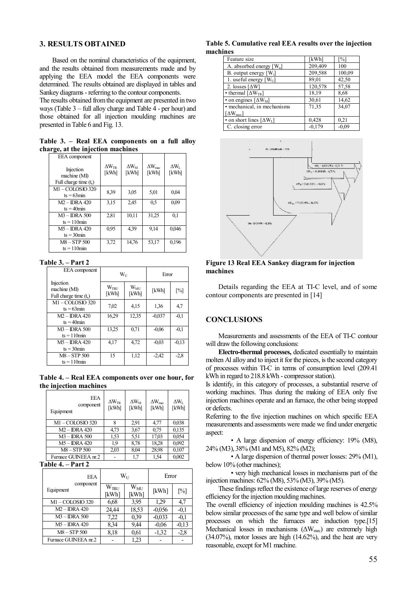#### **3. RESULTS OBTAINED**

Based on the nominal characteristics of the equipment, and the results obtained from measurements made and by applying the EEA model the EEA components were determined. The results obtained are displayed in tables and Sankey diagrams - referring to the contour components.

The results obtained from the equipment are presented in two ways (Table 3 – full alloy charge and Table 4 - per hour) and those obtained for all injection moulding machines are presented in Table 6 and Fig. 13.

**Table 3. – Real EEA components on a full alloy charge, at the injection machines** 

| EEA component                                        |                              |                             |                                  |                         |
|------------------------------------------------------|------------------------------|-----------------------------|----------------------------------|-------------------------|
| Injection<br>machine (MI)<br>Full charge time $(ts)$ | $\Delta W_{\rm TR}$<br>[kWh] | $\Delta W_{\rm M}$<br>[kWh] | $\Delta W_{\text{mec}}$<br>[kWh] | $\Delta W_{L}$<br>[kWh] |
| M1-COLOSIO 320<br>$ts = 63$ min                      | 8,39                         | 3.05                        | 5,01                             | 0,04                    |
| $M2 - IDRA$ 420<br>$ts = 40$ min                     | 3,15                         | 2,45                        | 0.5                              | 0,09                    |
| $M3 - IDRA$ 500<br>$ts = 110$ min                    | 2,81                         | 10,11                       | 31.25                            | 0,1                     |
| $M5 - IDRA$ 420<br>$ts = 30$ min                     | 0,95                         | 439                         | 9.14                             | 0,046                   |
| M8-STP 500<br>$ts = 110$ min                         | 3,72                         | 14,76                       | 53,17                            | 0,196                   |

#### **Table 3. – Part 2**

| EEA component                                        | $W_{11}$                  |                          | Error    |                   |
|------------------------------------------------------|---------------------------|--------------------------|----------|-------------------|
| Injection<br>machine (MI)<br>Full charge time $(ts)$ | W <sub>TRU</sub><br>[kWh] | $W_{\text{MI}}$<br>[kWh] | [kWh]    | $\lceil\% \rceil$ |
| M1-COLOSIO 320<br>$ts = 63$ min                      | 7,02                      | 4,15                     | 1,36     | 4,7               |
| $M2 - IDRA 420$<br>$ts = 40$ min                     | 16,29                     | 12,35                    | $-0.037$ | $-0.1$            |
| $M3 - IDRA$ 500<br>$ts = 110$ min                    | 13,25                     | 0,71                     | $-0.06$  | $-0.1$            |
| $M5 - IDRA 420$<br>$ts = 30$ min                     | 4,17                      | 4,72                     | $-0.03$  | $-0.13$           |
| $M8 - STP 500$<br>$ts = 110$ min                     | 15                        | 1,12                     | $-2,42$  | $-2,8$            |

**Table 4. – Real EEA components over one hour, for the injection machines** 

| <b>EEA</b><br>component<br>Equipment | $\Delta W_{\rm TR}$<br>[kWh] | $\Delta W_{\rm M}$<br>[kWh] | $\Delta W_{\text{mec}}$<br>[kWh] | $\Delta W_{\rm L}$<br>[kWh] |
|--------------------------------------|------------------------------|-----------------------------|----------------------------------|-----------------------------|
| M1-COLOSIO 320                       | 8                            | 2.91                        | 4,77                             | 0,038                       |
| $M2 - IDRA$ 420                      | 4,73                         | 3,67                        | 0.75                             | 0,135                       |
| M3 - IDRA 500                        | 1.53                         | 5.51                        | 17,03                            | 0,054                       |
| M5 - IDRA 420                        | 1,9                          | 8,78                        | 18,28                            | 0,092                       |
| M8-STP 500                           | 2,03                         | 8,04                        | 28.98                            | 0,107                       |
| Furnace GUINEEA nr.2                 |                              | 1.7                         | 1.54                             | 0,002                       |

### **Table 4. – Part 2**

| <b>EEA</b>             | $W_{11}$                  |                       | Error    |                   |
|------------------------|---------------------------|-----------------------|----------|-------------------|
| component<br>Equipment | W <sub>IRU</sub><br>[kWh] | $\rm W_{MI}$<br>[kWh] | [kWh]    | $\lceil\% \rceil$ |
| $M1 - COLOSIO$ 320     | 6,68                      | 3.95                  | 1.29     | 4,7               |
| $M2 - IDRA 420$        | 24,44                     | 18.53                 | $-0.056$ | $-0.1$            |
| $M3 - IDRA$ 500        | 7.22                      | 0.39                  | $-0.033$ | $-0.1$            |
| $M5 - IDRA 420$        | 8.34                      | 9.44                  | $-0.06$  | $-0.13$           |
| M8-STP 500             | 8.18                      | 0.61                  | $-1,32$  | $-2,8$            |
| Furnace GUINEEA nr.2   |                           | 1.23                  |          |                   |

**Table 5. Cumulative real EEA results over the injection machines** 

| Feature size                                   | [kWh]    | [%]     |
|------------------------------------------------|----------|---------|
| A. absorbed energy $[W_a]$                     | 209,409  | 100     |
| B. output energy $[W_i]$                       | 209,588  | 100,09  |
| 1. useful energy $[W_U]$                       | 89,01    | 42,50   |
| 2. losses $\lceil \Delta W \rceil$             | 120,578  | 57,58   |
| • thermal $\lceil \Delta W_{TR} \rceil$        | 18,19    | 8,68    |
| $\overline{\cdot}$ on engines [ $\Delta W_M$ ] | 30,61    | 14,62   |
| • mechanical, in mechanisms                    | 71,35    | 34,07   |
| $\lceil \Delta W_{\text{mec}} \rceil$          |          |         |
| • on short lines $[\Delta W_L]$                | 0,428    | 0.21    |
| C. closing error                               | $-0,179$ | $-0.09$ |



**Figure 13 Real EEA Sankey diagram for injection machines** 

Details regarding the EEA at TI-C level, and of some contour components are presented in [14]

#### **CONCLUSIONS**

Measurements and assessments of the EEA of TI-C contour will draw the following conclusions:

**Electro-thermal processes,** dedicated essentially to maintain molten Al alloy and to inject it for the pieces, is the second category of processes within TI-C in terms of consumption level (209.41 kWh in regard to 218.8 kWh - compressor station).

Is identify, in this category of processes, a substantial reserve of working machines. Thus during the making of EEA only five injection machines operate and an furnace, the other being stopped or defects.

Referring to the five injection machines on which specific EEA measurements and assessments were made we find under energetic aspect:

• A large dispersion of energy efficiency: 19% (M8), 24% (M3), 38% (M1 and M5), 82% (M2);

• A large dispersion of thermal power losses: 29% (M1), below 10% (other machines);

• very high mechanical losses in mechanisms part of the injection machines: 62% (M8), 53% (M3), 39% (M5).

These findings reflect the existence of large reserves of energy efficiency for the injection moulding machines.

The overall efficiency of injection moulding machines is 42.5% below similar processes of the same type and well below of similar processes on which the furnaces are induction type.[15] Mechanical losses in mechanisms  $(\Delta W_{\text{mec}})$  are extremely high (34.07%), motor losses are high (14.62%), and the heat are very reasonable, except for M1 machine.